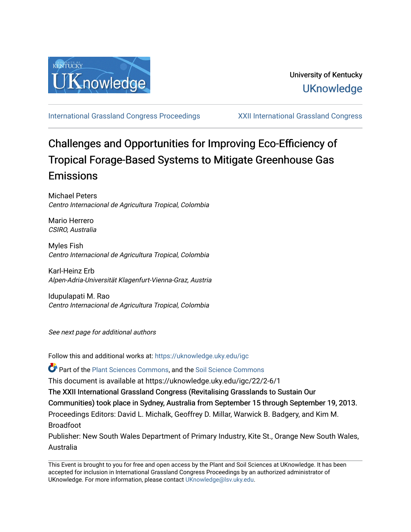

[International Grassland Congress Proceedings](https://uknowledge.uky.edu/igc) [XXII International Grassland Congress](https://uknowledge.uky.edu/igc/22) 

# Challenges and Opportunities for Improving Eco-Efficiency of Tropical Forage-Based Systems to Mitigate Greenhouse Gas Emissions

Michael Peters Centro Internacional de Agricultura Tropical, Colombia

Mario Herrero CSIRO, Australia

Myles Fish Centro Internacional de Agricultura Tropical, Colombia

Karl-Heinz Erb Alpen-Adria-Universität Klagenfurt-Vienna-Graz, Austria

Idupulapati M. Rao Centro Internacional de Agricultura Tropical, Colombia

See next page for additional authors

Follow this and additional works at: [https://uknowledge.uky.edu/igc](https://uknowledge.uky.edu/igc?utm_source=uknowledge.uky.edu%2Figc%2F22%2F2-6%2F1&utm_medium=PDF&utm_campaign=PDFCoverPages) 

Part of the [Plant Sciences Commons](http://network.bepress.com/hgg/discipline/102?utm_source=uknowledge.uky.edu%2Figc%2F22%2F2-6%2F1&utm_medium=PDF&utm_campaign=PDFCoverPages), and the [Soil Science Commons](http://network.bepress.com/hgg/discipline/163?utm_source=uknowledge.uky.edu%2Figc%2F22%2F2-6%2F1&utm_medium=PDF&utm_campaign=PDFCoverPages) 

This document is available at https://uknowledge.uky.edu/igc/22/2-6/1

The XXII International Grassland Congress (Revitalising Grasslands to Sustain Our

Communities) took place in Sydney, Australia from September 15 through September 19, 2013.

Proceedings Editors: David L. Michalk, Geoffrey D. Millar, Warwick B. Badgery, and Kim M. Broadfoot

Publisher: New South Wales Department of Primary Industry, Kite St., Orange New South Wales, Australia

This Event is brought to you for free and open access by the Plant and Soil Sciences at UKnowledge. It has been accepted for inclusion in International Grassland Congress Proceedings by an authorized administrator of UKnowledge. For more information, please contact [UKnowledge@lsv.uky.edu](mailto:UKnowledge@lsv.uky.edu).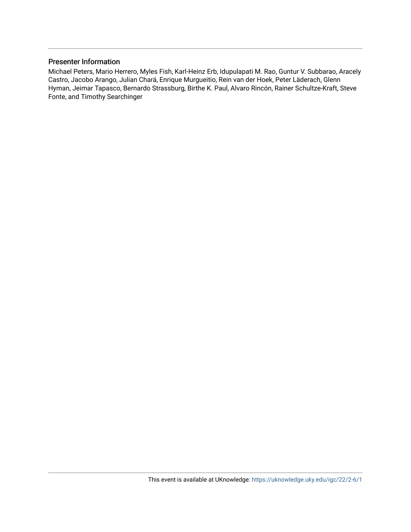# Presenter Information

Michael Peters, Mario Herrero, Myles Fish, Karl-Heinz Erb, Idupulapati M. Rao, Guntur V. Subbarao, Aracely Castro, Jacobo Arango, Julian Chará, Enrique Murgueitio, Rein van der Hoek, Peter Läderach, Glenn Hyman, Jeimar Tapasco, Bernardo Strassburg, Birthe K. Paul, Alvaro Rincón, Rainer Schultze-Kraft, Steve Fonte, and Timothy Searchinger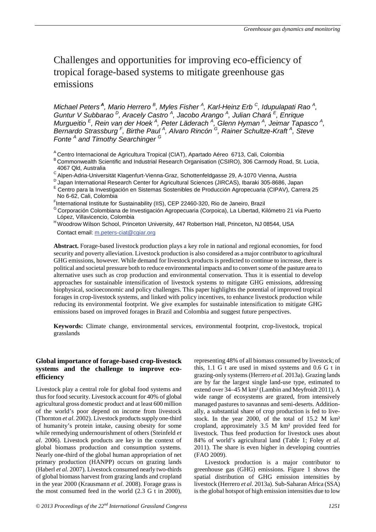# Challenges and opportunities for improving eco-efficiency of tropical forage-based systems to mitigate greenhouse gas emissions

*Michael Peters<sup>A</sup>, Mario Herrero <sup>B</sup> , Myles Fisher <sup>A</sup> , Karl-Heinz Erb C, Idupulapati Rao <sup>A</sup> , Guntur V Subbarao D, Aracely Castro <sup>A</sup> , Jacobo Arango <sup>A</sup> , Julian Chará <sup>E</sup> , Enrique Murgueitio*<sup>E</sup>, Rein van der Hoek<sup>A</sup>, Peter Läderach<sup>A</sup>, Glenn Hyman<sup>A</sup>, Jeimar Tapasco<sup>A</sup>, *Bernardo Strassburg <sup>F</sup> , Birthe Paul <sup>A</sup> , Alvaro Rincón G, Rainer Schultze-Kraft <sup>A</sup> , Steve Fonte <sup>A</sup> and Timothy Searchinger <sup>G</sup>*

A Centro Internacional de Agricultura Tropical (CIAT), Apartado Aéreo 6713, Cali, Colombia

B Commonwealth Scientific and Industrial Research Organisation (CSIRO), 306 Carmody Road, St. Lucia,

- 4067 Qld, Australia<br><sup>C</sup> Alpen-Adria-Universität Klagenfurt-Vienna-Graz, Schottenfeldgasse 29, A-1070 Vienna, Austria
- 
- <sup>D</sup> Japan International Research Center for Agricultural Sciences (JIRCAS), Ibaraki 305-8686, Japan<br><sup>E</sup> Centro para la Investigación en Sistemas Sostenibles de Producción Agropecuaria (CIPAV), Carrera 25 No 6-62, Cali, Colombia<br>Finternational Institute for Sustainability (IIS), CEP 22460-320, Rio de Janeiro, Brazil
- 
- <sup>G</sup> Corporación Colombiana de Investigación Agropecuaria (Corpoica), La Libertad, Kilómetro 21 vía Puerto<br>López, Villavicencio, Colombia
- <sup>H</sup> Woodrow Wilson School, Princeton University, 447 Robertson Hall, Princeton, NJ 08544, USA Contact email: m.peters-ciat@cgiar.org

**Abstract.** Forage-based livestock production plays a key role in national and regional economies, for food security and poverty alleviation. Livestock production is also considered as a major contributor to agricultural GHG emissions, however. While demand for livestock products is predicted to continue to increase, there is political and societal pressure both to reduce environmental impacts and to convert some of the pasture area to alternative uses such as crop production and environmental conservation. Thus it is essential to develop approaches for sustainable intensification of livestock systems to mitigate GHG emissions, addressing biophysical, socioeconomic and policy challenges. This paper highlights the potential of improved tropical forages in crop-livestock systems, and linked with policy incentives, to enhance livestock production while reducing its environmental footprint. We give examples for sustainable intensification to mitigate GHG emissions based on improved forages in Brazil and Colombia and suggest future perspectives.

**Keywords:** Climate change, environmental services, environmental footprint, crop-livestock, tropical grasslands

#### **Global importance of forage-based crop-livestock systems and the challenge to improve ecoefficiency**

Livestock play a central role for global food systems and thus for food security. Livestock account for 40% of global agricultural gross domestic product and at least 600 million of the world's poor depend on income from livestock (Thornton *et al*. 2002). Livestock products supply one-third of humanity's protein intake, causing obesity for some while remedying undernourishment of others (Steinfeld *et al*. 2006). Livestock products are key in the context of global biomass production and consumption systems. Nearly one-third of the global human appropriation of net primary production (HANPP) occurs on grazing lands (Haberl *et al.* 2007). Livestock consumed nearly two-thirds of global biomass harvest from grazing lands and cropland in the year 2000 (Krausmann *et al*. 2008). Forage grass is the most consumed feed in the world (2.3 G t in 2000),

representing 48% of all biomass consumed by livestock; of this, 1.1 G t are used in mixed systems and 0.6 G t in grazing-only systems (Herrero *et al.* 2013a). Grazing lands are by far the largest single land-use type, estimated to extend over 34–45 M km² (Lambin and Meyfroidt 2011). A wide range of ecosystems are grazed, from intensively managed pastures to savannas and semi-deserts. Additionally, a substantial share of crop production is fed to livestock. In the year 2000, of the total of 15.2 M km² cropland, approximately 3.5 M km² provided feed for livestock. Thus feed production for livestock uses about 84% of world's agricultural land (Table 1; Foley *et al*. 2011). The share is even higher in developing countries (FAO 2009).

Livestock production is a major contributor to greenhouse gas (GHG) emissions. Figure 1 shows the spatial distribution of GHG emission intensities by livestock (Herrero *et al*. 2013a). Sub-Saharan Africa (SSA) is the global hotspot of high emission intensities due to low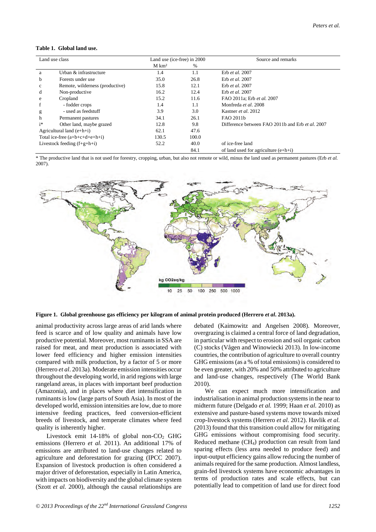#### **Table 1. Global land use.**

| Land use class                   |                                 | Land use (ice-free) in 2000 |       | Source and remarks                               |  |
|----------------------------------|---------------------------------|-----------------------------|-------|--------------------------------------------------|--|
|                                  |                                 | $M \ km2$                   | $\%$  |                                                  |  |
| a                                | Urban & infrastructure          | 1.4                         | 1.1   | Erb et al. 2007                                  |  |
| b                                | Forests under use               | 35.0                        | 26.8  | Erb et al. 2007                                  |  |
| $\mathbf c$                      | Remote, wilderness (productive) | 15.8                        | 12.1  | Erb et al. 2007                                  |  |
| d                                | Non-productive                  | 16.2                        | 12.4  | Erb et al. 2007                                  |  |
| e                                | Cropland                        | 15.2                        | 11.6  | FAO 2011a; Erb et al. 2007                       |  |
|                                  | - fodder crops                  | 1.4                         | 1.1   | Monfreda et al. 2008                             |  |
| g                                | - used as feedstuff             | 3.9                         | 3.0   | Kastner <i>et al.</i> 2012                       |  |
| h                                | Permanent pastures              | 34.1                        | 26.1  | FAO 2011b                                        |  |
| $i^*$                            | Other land, maybe grazed        | 12.8                        | 9.8   | Difference between FAO 2011b and Erb et al. 2007 |  |
| Agricultural land $(e+h+i)$      |                                 | 62.1                        | 47.6  |                                                  |  |
| Total ice-free $(a+b+c+d+e+h+i)$ |                                 | 130.5                       | 100.0 |                                                  |  |
| Livestock feeding $(f+g+h+i)$    |                                 | 52.2                        | 40.0  | of ice-free land                                 |  |
|                                  |                                 |                             | 84.1  | of land used for agriculture $(e+h+i)$           |  |

\* The productive land that is not used for forestry, cropping, urban, but also not remote or wild, minus the land used as permanent pastures (Erb *et al.* 2007).



**Figure 1. Global greenhouse gas efficiency per kilogram of animal protein produced (Herrero** *et al***. 2013a).** 

animal productivity across large areas of arid lands where feed is scarce and of low quality and animals have low productive potential. Moreover, most ruminants in SSA are raised for meat, and meat production is associated with lower feed efficiency and higher emission intensities compared with milk production, by a factor of 5 or more (Herrero *et al*. 2013a). Moderate emission intensities occur throughout the developing world, in arid regions with large rangeland areas, in places with important beef production (Amazonia), and in places where diet intensification in ruminants is low (large parts of South Asia). In most of the developed world, emission intensities are low, due to more intensive feeding practices, feed conversion-efficient breeds of livestock, and temperate climates where feed quality is inherently higher.

Livestock emit 14-18% of global non- $CO<sub>2</sub>$  GHG emissions (Herrero *et al.* 2011). An additional 17% of emissions are attributed to land-use changes related to agriculture and deforestation for grazing (IPCC 2007). Expansion of livestock production is often considered a major driver of deforestation, especially in Latin America, with impacts on biodiversity and the global climate system (Szott *et al.* 2000), although the causal relationships are

debated (Kaimowitz and Angelsen 2008). Moreover, overgrazing is claimed a central force of land degradation, in particular with respect to erosion and soil organic carbon (C) stocks (Vågen and Winowiecki 2013). In low-income countries, the contribution of agriculture to overall country GHG emissions (as a % of total emissions) is considered to be even greater, with 20% and 50% attributed to agriculture and land-use changes, respectively (The World Bank 2010).

We can expect much more intensification and industrialisation in animal production systems in the near to midterm future (Delgado *et al.* 1999; Haan *et al.* 2010) as extensive and pasture-based systems move towards mixed crop-livestock systems (Herrero *et al*. 2012). Havlik *et al.* (2013) found that this transition could allow for mitigating GHG emissions without compromising food security. Reduced methane  $(CH<sub>4</sub>)$  production can result from land sparing effects (less area needed to produce feed) and input-output efficiency gains allow reducing the number of animals required for the same production. Almost landless, grain-fed livestock systems have economic advantages in terms of production rates and scale effects, but can potentially lead to competition of land use for direct food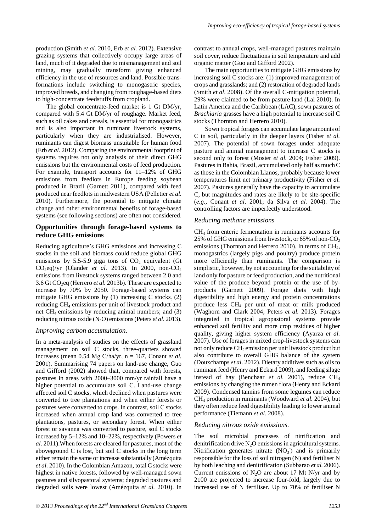production (Smith *et al.* 2010, Erb *et al.* 2012). Extensive grazing systems that collectively occupy large areas of land, much of it degraded due to mismanagement and soil mining, may gradually transform giving enhanced efficiency in the use of resources and land. Possible transformations include switching to monogastric species, improved breeds, and changing from roughage-based diets to high-concentrate feedstuffs from cropland.

The global concentrate-feed market is 1 Gt DM/yr, compared with 5.4 Gt DM/yr of roughage. Market feed, such as oil cakes and cereals, is essential for monogastrics and is also important in ruminant livestock systems, particularly when they are industrialised. However, ruminants can digest biomass unsuitable for human food (Erb *et al.* 2012). Comparing the environmental footprint of systems requires not only analysis of their direct GHG emissions but the environmental costs of feed production. For example, transport accounts for 11–12% of GHG emissions from feedlots in Europe feeding soybean produced in Brazil (Garnett 2011), compared with feed produced near feedlots in midwestern USA (Pelletier *et al*. 2010). Furthermore, the potential to mitigate climate change and other environmental benefits of forage-based systems (see following sections) are often not considered.

#### **Opportunities through forage-based systems to reduce GHG emissions**

Reducing agriculture's GHG emissions and increasing C stocks in the soil and biomass could reduce global GHG emissions by 5.5-5.9 giga tons of  $CO<sub>2</sub>$  equivalent (Gt)  $CO<sub>2</sub>eq)/yr$  (Olander *et al.* 2013). In 2000, non-CO<sub>2</sub> emissions from livestock systems ranged between 2.0 and 3.6 Gt CO2eq (Herrero *et al.* 2013b). These are expected to increase by 70% by 2050. Forage-based systems can mitigate GHG emissions by  $(1)$  increasing C stocks $(2)$ reducing CH4 emissions per unit of livestock product and net  $CH_4$  emissions by reducing animal numbers; and  $(3)$ reducing nitrous oxide (N2O) emissions (Peters *et al*. 2013).

#### *Improving carbon accumulation.*

In a meta-analysis of studies on the effects of grassland management on soil C stocks, three-quarters showed increases (mean  $0.54$  Mg C/ha/yr,  $n = 167$ , Conant *et al.* 2001). Summarising 74 papers on land-use change, Guo and Gifford (2002) showed that, compared with forests, pastures in areas with 2000–3000 mm/yr rainfall have a higher potential to accumulate soil C. Land-use change affected soil C stocks, which declined when pastures were converted to tree plantations and when either forests or pastures were converted to crops. In contrast, soil C stocks increased when annual crop land was converted to tree plantations, pastures, or secondary forest. When either forest or savanna was converted to pasture, soil C stocks increased by 5–12% and 10–22%, respectively (Powers *et al.* 2011).When forests are cleared for pastures, most of the aboveground C is lost, but soil C stocks in the long term either remain the same or increase substantially (Amézquita *et al.* 2010). In the Colombian Amazon, total C stocks were highest in native forests, followed by well-managed sown pastures and silvopastoral systems; degraded pastures and degraded soils were lowest (Amézquita *et al.* 2010). In

contrast to annual crops, well-managed pastures maintain soil cover, reduce fluctuations in soil temperature and add organic matter (Guo and Gifford 2002).

The main opportunities to mitigate GHG emissions by increasing soil C stocks are: (1) improved management of crops and grasslands; and (2) restoration of degraded lands (Smith *et al*. 2008). Of the overall C-mitigation potential, 29% were claimed to be from pasture land (Lal 2010). In Latin America and the Caribbean (LAC), sown pastures of *Brachiaria* grasses have a high potential to increase soil C stocks (Thornton and Herrero 2010).

Sown tropical forages can accumulate large amounts of C in soil, particularly in the deeper layers (Fisher *et al.* 2007). The potential of sown forages under adequate pasture and animal management to increase C stocks is second only to forest (Mosier *et al.* 2004; Fisher 2009). Pastures in Bahia, Brazil, accumulated only half as much C as those in the Colombian Llanos, probably because lower temperatures limit net primary productivity (Fisher *et al.* 2007). Pastures generally have the capacity to accumulate C, but magnitudes and rates are likely to be site-specific (*e.g*., Conant *et al*. 2001; da Silva *et al.* 2004). The controlling factors are imperfectly understood.

#### *Reducing methane emissions*

CH4 from enteric fermentation in ruminants accounts for 25% of GHG emissions from livestock, or  $65\%$  of non-CO<sub>2</sub> emissions (Thornton and Herrero 2010). In terms of  $CH<sub>4</sub>$ , monogastrics (largely pigs and poultry) produce protein more efficiently than ruminants. The comparison is simplistic, however, by not accounting for the suitability of land only for pasture or feed production, and the nutritional value of the produce beyond protein or the use of byproducts (Garnett 2009). Forage diets with high digestibility and high energy and protein concentrations produce less CH4 per unit of meat or milk produced (Waghorn and Clark 2004; Peters *et al.* 2013). Forages integrated in tropical agropastoral systems provide enhanced soil fertility and more crop residues of higher quality, giving higher system efficiency (Ayarza *et al.* 2007). Use of forages in mixed crop-livestock systems can not only reduce CH4 emission per unit livestock product but also contribute to overall GHG balance of the system (Douxchamps *et al*. 2012). Dietary additives such as oils to ruminant feed (Henry and Eckard 2009), and feeding silage instead of hay (Benchaar *et al.* 2001), reduce CH<sub>4</sub> emissions by changing the rumen flora (Henry and Eckard 2009). Condensed tannins from some legumes can reduce CH4 production in ruminants (Woodward *et al.* 2004), but they often reduce feed digestibility leading to lower animal performance (Tiemann *et al.* 2008).

#### *Reducing nitrous oxide emissions.*

The soil microbial processes of nitrification and denitrification drive  $N_2O$  emissions in agricultural systems. Nitrification generates nitrate  $(NO<sub>3</sub>)$  and is primarily responsible for the loss of soil nitrogen (N) and fertiliser N by both leaching and denitrification (Subbarao *et al.* 2006). Current emissions of  $N_2O$  are about 17 Mt N/yr and by 2100 are projected to increase four-fold, largely due to increased use of N fertiliser. Up to 70% of fertiliser N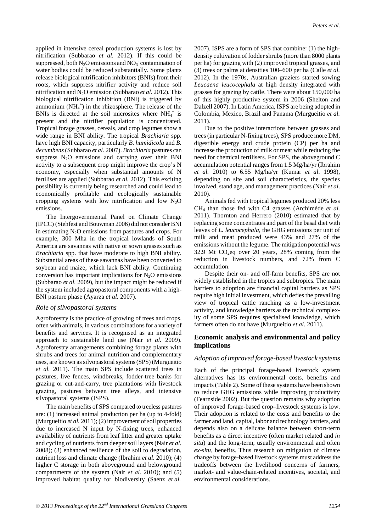applied in intensive cereal production systems is lost by nitrification (Subbarao *et al.* 2012). If this could be suppressed, both  $N_2O$  emissions and  $NO_3^-$  contamination of water bodies could be reduced substantially. Some plants release biological nitrification inhibitors (BNIs) from their roots, which suppress nitrifier activity and reduce soil nitrification and N<sub>2</sub>O emission (Subbarao *et al.* 2012). This biological nitrification inhibition (BNI) is triggered by ammonium  $(NH_4^+)$  in the rhizosphere. The release of the BNIs is directed at the soil microsites where  $NH<sub>4</sub><sup>+</sup>$  is present and the nitrifier population is concentrated. Tropical forage grasses, cereals, and crop legumes show a wide range in BNI ability. The tropical *Brachiaria* spp. have high BNI capacity, particularly *B. humidicola* and *B. decumbens*(Subbarao *et al.* 2007). *Brachiaria* pastures can suppress  $N_2O$  emissions and carrying over their BNI activity to a subsequent crop might improve the crop's N economy, especially when substantial amounts of N fertiliser are applied (Subbarao *et al.* 2012). This exciting possibility is currently being researched and could lead to economically profitable and ecologically sustainable cropping systems with low nitrification and low  $N_2O$ emissions.

The Intergovernmental Panel on Climate Change (IPCC) (Stehfest and Bouwman 2006) did not consider BNI in estimating  $N_2O$  emissions from pastures and crops. For example, 300 Mha in the tropical lowlands of South America are savannas with native or sown grasses such as *Brachiaria* spp. that have moderate to high BNI ability. Substantial areas of these savannas have been converted to soybean and maize, which lack BNI ability. Continuing conversion has important implications for  $N<sub>2</sub>O$  emissions (Subbarao *et al.* 2009), but the impact might be reduced if the system included agropastoral components with a high-BNI pasture phase (Ayarza *et al.* 2007).

# *Role of silvopastoral systems*

Agroforestry is the practice of growing of trees and crops, often with animals, in various combinations for a variety of benefits and services. It is recognised as an integrated approach to sustainable land use (Nair *et al.* 2009). Agroforestry arrangements combining forage plants with shrubs and trees for animal nutrition and complementary uses, are known as silvopastoral systems (SPS) (Murgueitio *et al.* 2011). The main SPS include scattered trees in pastures, live fences, windbreaks, fodder-tree banks for grazing or cut-and-carry, tree plantations with livestock grazing, pastures between tree alleys, and intensive silvopastoral systems (ISPS).

The main benefits of SPS compared to treeless pastures are: (1) increased animal production per ha (up to 4-fold) (Murgueitio *et al.* 2011); (2) improvement of soil properties due to increased N input by N-fixing trees, enhanced availability of nutrients from leaf litter and greater uptake and cycling of nutrients from deeper soil layers (Nair *et al.* 2008); (3) enhanced resilience of the soil to degradation, nutrient loss and climate change (Ibrahim *et al.* 2010); (4) higher C storage in both aboveground and belowground compartments of the system (Nair *et al.* 2010); and (5) improved habitat quality for biodiversity (Saenz *et al.*

2007). ISPS are a form of SPS that combine: (1) the highdensity cultivation of fodder shrubs (more than 8000 plants per ha) for grazing with (2) improved tropical grasses, and (3) trees or palms at densities 100–600 per ha (Calle *et al.* 2012). In the 1970s, Australian graziers started sowing *Leucaena leucocephala* at high density integrated with grasses for grazing by cattle. There were about 150,000 ha of this highly productive system in 2006 (Shelton and Dalzell 2007). In Latin America, ISPS are being adopted in Colombia, Mexico, Brazil and Panama (Murgueitio *et al.* 2011).

Due to the positive interactions between grasses and trees (in particular N-fixing trees), SPS produce more DM, digestible energy and crude protein (CP) per ha and increase the production of milk or meat while reducing the need for chemical fertilisers. For SPS, the aboveground C accumulation potential ranges from 1.5 Mg/ha/yr (Ibrahim *et al.* 2010) to 6.55 Mg/ha/yr (Kumar *et al*. 1998), depending on site and soil characteristics, the species involved, stand age, and management practices (Nair *et al*. 2010).

Animals fed with tropical legumes produced 20% less CH4 than those fed with C4 grasses (Archimède *et al.*  2011). Thornton and Herrero (2010) estimated that by replacing some concentrates and part of the basal diet with leaves of *L. leucocephala*, the GHG emissions per unit of milk and meat produced were 43% and 27% of the emissions without the legume. The mitigation potential was 32.9 Mt  $CO<sub>2</sub>$ eq over 20 years, 28% coming from the reduction in livestock numbers, and 72% from C accumulation.

Despite their on- and off-farm benefits, SPS are not widely established in the tropics and subtropics. The main barriers to adoption are financial capital barriers as SPS require high initial investment, which defies the prevailing view of tropical cattle ranching as a low-investment activity, and knowledge barriers as the technical complexity of some SPS requires specialised knowledge, which farmers often do not have (Murgueitio *et al*. 2011).

# **Economic analysis and environmental and policy implications**

# *Adoption of improved forage-based livestock systems*

Each of the principal forage-based livestock system alternatives has its environmental costs, benefits and impacts (Table 2). Some of these systems have been shown to reduce GHG emissions while improving productivity (Fearnside 2002). But the question remains why adoption of improved forage-based crop–livestock systems is low. Their adoption is related to the costs and benefits to the farmer and land, capital, labor and technology barriers, and depends also on a delicate balance between short-term benefits as a direct incentive (often market related and *in situ*) and the long-term, usually environmental and often *ex-situ*, benefits. Thus research on mitigation of climate change by forage-based livestock systems must address the tradeoffs between the livelihood concerns of farmers, market- and value-chain-related incentives, societal, and environmental considerations.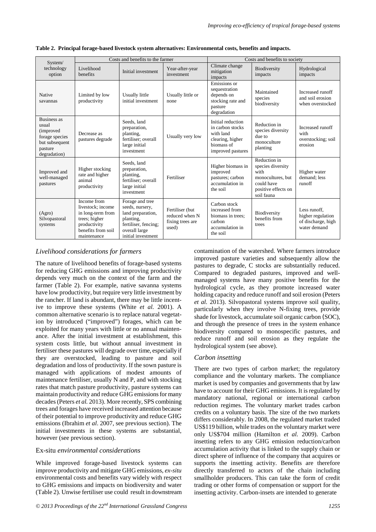| System/                                                                                                         | Costs and benefits to the farmer                                                                                            |                                                                                                                                     |                                                                | Costs and benefits to society                                                                             |                                                                                                                   |                                                                         |
|-----------------------------------------------------------------------------------------------------------------|-----------------------------------------------------------------------------------------------------------------------------|-------------------------------------------------------------------------------------------------------------------------------------|----------------------------------------------------------------|-----------------------------------------------------------------------------------------------------------|-------------------------------------------------------------------------------------------------------------------|-------------------------------------------------------------------------|
| technology<br>option                                                                                            | Livelihood<br>benefits                                                                                                      | Initial investment                                                                                                                  | Year-after-year<br>investment                                  | Climate change<br>mitigation<br>impacts                                                                   | Biodiversity<br>impacts                                                                                           | Hydrological<br>impacts                                                 |
| Native<br>savannas                                                                                              | Limited by low<br>productivity                                                                                              | Usually little<br>initial investment                                                                                                | Usually little or<br>none                                      | Emissions or<br>sequestration<br>depends on<br>stocking rate and<br>pasture<br>degradation                | Maintained<br>species<br>biodiversity                                                                             | Increased runoff<br>and soil erosion<br>when overstocked                |
| <b>Business as</b><br>usual<br><i>(improved)</i><br>forage species<br>but subsequent<br>pasture<br>degradation) | Decrease as<br>pastures degrade                                                                                             | Seeds, land<br>preparation,<br>planting,<br>fertiliser; overall<br>large initial<br>investment                                      | Usually very low                                               | Initial reduction<br>in carbon stocks<br>with land<br>clearing, higher<br>biomass of<br>improved pastures | Reduction in<br>species diversity<br>due to<br>monoculture<br>planting                                            | Increased runoff<br>with<br>overstocking; soil<br>erosion               |
| Improved and<br>well-managed<br>pastures                                                                        | Higher stocking<br>rate and higher<br>animal<br>productivity                                                                | Seeds, land<br>preparation,<br>planting,<br>fertiliser; overall<br>large initial<br>investment                                      | Fertiliser                                                     | Higher biomass in<br>improved<br>pastures; carbon<br>accumulation in<br>the soil                          | Reduction in<br>species diversity<br>with<br>monocultures, but<br>could have<br>positive effects on<br>soil fauna | Higher water<br>demand: less<br>runoff                                  |
| (Agro)<br>Silvopastoral<br>systems                                                                              | Income from<br>livestock: income<br>in long-term from<br>trees; higher<br>productivity<br>benefits from soil<br>maintenance | Forage and tree<br>seeds, nursery,<br>land preparation,<br>planting,<br>fertiliser, fencing;<br>overall large<br>initial investment | Fertiliser (but<br>reduced when N<br>fixing trees are<br>used) | Carbon stock<br>increased from<br>biomass in trees:<br>carbon<br>accumulation in<br>the soil              | Biodiversity<br>benefits from<br>trees                                                                            | Less runoff.<br>higher regulation<br>of discharge, high<br>water demand |

**Table 2. Principal forage-based livestock system alternatives: Environmental costs, benefits and impacts.** 

# *Livelihood considerations for farmers*

The nature of livelihood benefits of forage-based systems for reducing GHG emissions and improving productivity depends very much on the context of the farm and the farmer (Table 2). For example, native savanna systems have low productivity, but require very little investment by the rancher. If land is abundant, there may be little incentive to improve these systems (White *et al.* 2001). A common alternative scenario is to replace natural vegetation by introduced ("improved") forages, which can be exploited for many years with little or no annual maintenance. After the initial investment at establishment, this system costs little, but without annual investment in fertiliser these pastures will degrade over time, especially if they are overstocked, leading to pasture and soil degradation and loss of productivity. If the sown pasture is managed with applications of modest amounts of maintenance fertiliser, usually N and P, and with stocking rates that match pasture productivity, pasture systems can maintain productivity and reduce GHG emissions for many decades(Peters *et al.* 2013). More recently, SPS combining trees and forages have received increased attention because of their potential to improve productivity and reduce GHG emissions (Ibrahim *et al*. 2007, see previous section). The initial investments in these systems are substantial, however (see previous section).

# Ex-situ *environmental considerations*

While improved forage-based livestock systems can improve productivity and mitigate GHG emissions, *ex-situ* environmental costs and benefits vary widely with respect to GHG emissions and impacts on biodiversity and water (Table 2). Unwise fertiliser use could result in downstream contamination of the watershed. Where farmers introduce improved pasture varieties and subsequently allow the pastures to degrade, C stocks are substantially reduced. Compared to degraded pastures, improved and wellmanaged systems have many positive benefits for the hydrological cycle, as they promote increased water holding capacity and reduce runoff and soil erosion (Peters *et al.* 2013). Silvopastoral systems improve soil quality, particularly when they involve N-fixing trees, provide shade for livestock, accumulate soil organic carbon (SOC), and through the presence of trees in the system enhance biodiversity compared to monospecific pastures, and reduce runoff and soil erosion as they regulate the hydrological system (see above).

# *Carbon insetting*

There are two types of carbon market; the regulatory compliance and the voluntary markets. The compliance market is used by companies and governments that by law have to account for their GHG emissions. It is regulated by mandatory national, regional or international carbon reduction regimes. The voluntary market trades carbon credits on a voluntary basis. The size of the two markets differs considerably. In 2008, the regulated market traded US\$119 billion, while trades on the voluntary market were only US\$704 million (Hamilton *et al.* 2009). Carbon insetting refers to any GHG emission reduction/carbon accumulation activity that is linked to the supply chain or direct sphere of influence of the company that acquires or supports the insetting activity. Benefits are therefore directly transferred to actors of the chain including smallholder producers. This can take the form of credit trading or other forms of compensation or support for the insetting activity. Carbon-insets are intended to generate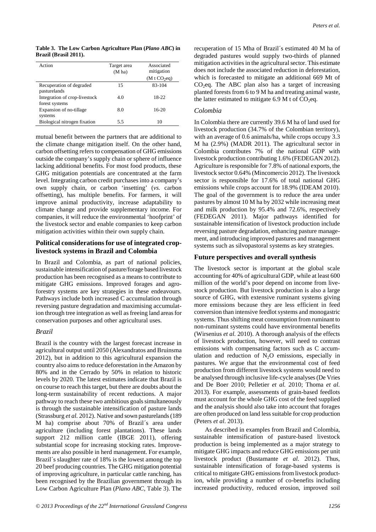*Peters et al.*

**Table 3. The Low Carbon Agriculture Plan (***Plano ABC***) in Brazil (Brasil 2011).** 

| Action                                          | Target area<br>(M ha) | Associated<br>mitigation<br>(M t CO <sub>2</sub> eq) |
|-------------------------------------------------|-----------------------|------------------------------------------------------|
| Recuperation of degraded<br>pasturelands        | 15                    | 83-104                                               |
| Integration of crop-livestock<br>forest systems | 4.0                   | 18-22                                                |
| Expansion of no-tillage<br>systems              | 8.0                   | $16-20$                                              |
| Biological nitrogen fixation                    | 5.5                   | 10                                                   |

mutual benefit between the partners that are additional to the climate change mitigation itself. On the other hand, carbon offsetting refers to compensation of GHG emissions outside the company's supply chain or sphere of influence lacking additional benefits. For most food products, these GHG mitigation potentials are concentrated at the farm level. Integrating carbon credit purchases into a company's own supply chain, or carbon 'insetting' (*vs.* carbon offsetting), has multiple benefits. For farmers, it will improve animal productivity, increase adaptability to climate change and provide supplementary income. For companies, it will reduce the environmental 'hoofprint' of the livestock sector and enable companies to keep carbon mitigation activities within their own supply chain.

#### **Political considerations for use of integrated croplivestock systems in Brazil and Colombia**

In Brazil and Colombia, as part of national policies, sustainable intensification of pasture/forage based livestock production has been recognised as a means to contribute to mitigate GHG emissions. Improved forages and agroforestry systems are key strategies in these endeavours. Pathways include both increased C accumulation through reversing pasture degradation and maximising accumulation through tree integration as well as freeing land areas for conservation purposes and other agricultural uses.

# *Brazil*

Brazil is the country with the largest forecast increase in agricultural output until 2050 (Alexandratos and Bruinsma 2012), but in addition to this agricultural expansion the country also aims to reduce deforestation in the Amazon by 80% and in the Cerrado by 50% in relation to historic levels by 2020. The latest estimates indicate that Brazil is on course to reach this target, but there are doubts about the long-term sustainability of recent reductions. A major pathway to reach these two ambitious goals simultaneously is through the sustainable intensification of pasture lands (Strassburg *et al.* 2012). Native and sown pasturelands (189 M ha) comprise about 70% of Brazil´s area under agriculture (including forest plantations). These lands support 212 million cattle (IBGE 2011), offering substantial scope for increasing stocking rates. Improvements are also possible in herd management. For example, Brazil´s slaughter rate of 18% is the lowest among the top 20 beef producing countries. The GHG mitigation potential of improving agriculture, in particular cattle ranching, has been recognised by the Brazilian government through its Low Carbon Agriculture Plan (*Plano ABC,* Table 3). The

recuperation of 15 Mha of Brazil´s estimated 40 M ha of degraded pastures would supply two-thirds of planned mitigation activities in the agricultural sector. This estimate does not include the associated reduction in deforestation, which is forecasted to mitigate an additional 669 Mt of  $CO<sub>2</sub>$ eq. The ABC plan also has a target of increasing planted forests from 6 to 9 M ha and treating animal waste, the latter estimated to mitigate 6.9 M t of  $CO<sub>2</sub>$ eq.

#### *Colombia*

In Colombia there are currently 39.6 M ha of land used for livestock production (34.7% of the Colombian territory), with an average of 0.6 animals/ha, while crops occupy 3.3 M ha (2.9%) (MADR 2011). The agricultural sector in Colombia contributes 7% of the national GDP with livestock production contributing 1.6% (FEDEGAN 2012). Agriculture is responsible for 7.8% of national exports, the livestock sector 0.64% (Mincomercio 2012). The livestock sector is responsible for 17.6% of total national GHG emissions while crops account for 18.9% (IDEAM 2010). The goal of the government is to reduce the area under pastures by almost 10 M ha by 2032 while increasing meat and milk production by 95.4% and 72.6%, respectively (FEDEGAN 2011). Major pathways identified for sustainable intensification of livestock production include reversing pasture degradation, enhancing pasture management, and introducing improved pastures and management systems such as silvopastoral systems as key strategies.

#### **Future perspectives and overall synthesis**

The livestock sector is important at the global scale accounting for 40% of agricultural GDP, while at least 600 million of the world's poor depend on income from livestock production. But livestock production is also a large source of GHG, with extensive ruminant systems giving more emissions because they are less efficient in feed conversion than intensive feedlot systems and monogastric systems. Thus shifting meat consumption from ruminant to non-ruminant systems could have environmental benefits (Wirsenius *et al.* 2010). A thorough analysis of the effects of livestock production, however, will need to contrast emissions with compensating factors such as C accumulation and reduction of  $N_2O$  emissions, especially in pastures. We argue that the environmental cost of feed production from different livestock systems would need to be analysed through inclusive life-cycle analyses (De Vries and De Boer 2010; Pelletier *et al.* 2010; Thoma *et al.* 2013). For example, assessments of grain-based feedlots must account for the whole GHG cost of the feed supplied and the analysis should also take into account that forages are often produced on land less suitable for crop production (Peters *et al*. 2013).

As described in examples from Brazil and Colombia, sustainable intensification of pasture-based livestock production is being implemented as a major strategy to mitigate GHG impacts and reduce GHG emissions per unit livestock product (Bustamante *et al.* 2012). Thus, sustainable intensification of forage-based systems is critical to mitigate GHG emissions from livestock production, while providing a number of co-benefits including increased productivity, reduced erosion, improved soil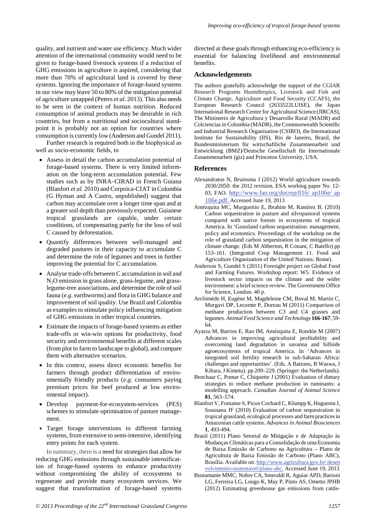quality, and nutrient and water use efficiency. Much wider attention of the international community would need to be given to forage-based livestock systems if a reduction of GHG emissions in agriculture is aspired, considering that more than 70% of agricultural land is covered by these systems. Ignoring the importance of forage-based systems in our view may leave 50 to 80% of the mitigation potential of agriculture untapped (Peters *et al*. 2013). This also needs to be seen in the context of human nutrition. Reduced consumption of animal products may be desirable in rich countries, but from a nutritional and sociocultural standpoint it is probably not an option for countries where consumption is currently low (Anderson and Gundel 2011).

Further research is required both in the biophysical as well as socio-economic fields, to

- Assess in detail the carbon accumulation potential of forage-based systems. There is very limited information on the long-term accumulation potential. Few studies such as by INRA–CIRAD in French Guiana (Blanfort *et al.* 2010) and Corpoica-CIAT in Colombia (G Hyman and A Castro, unpublished) suggest that carbon may accumulate over a longer time span and at a greater soil depth than previously expected. Guianese tropical grasslands are capable, under certain conditions, of compensating partly for the loss of soil C caused by deforestation.
- Quantify differences between well-managed and degraded pastures in their capacity to accumulate C and determine the role of legumes and trees in further improving the potential for C accumulation.
- Analyse trade-offs between C accumulation in soil and N2O emission in grass alone, grass-legume, and grasslegume-tree associations, and determine the role of soil fauna (*e.g*. earthworms) and flora in GHG balance and improvement of soil quality. Use Brazil and Colombia as examples to stimulate policy influencing mitigation of GHG emissions in other tropical countries.
- Estimate the impacts of forage-based systems as either trade-offs or win-win options for productivity, food security and environmental benefits at different scales (from plot to farm to landscape to global), and compare them with alternative scenarios.
- In this context, assess direct economic benefits for farmers through product differentiation of environmentally friendly products (*e.g*. consumers paying premium prices for beef produced at low environmental impact).
- Develop payment-for-ecosystem-services (PES) schemes to stimulate optimisation of pasture management.
- Target forage interventions to different farming systems, from extensive to semi-intensive, identifying entry points for each system.

In summary, there is a need for strategies that allow for reducing GHG emissions through sustainable intensification of forage-based systems to enhance productivity without compromising the ability of ecosystems to regenerate and provide many ecosystem services. We suggest that transformation of forage-based systems

directed at these goals through enhancing eco-efficiency is essential for balancing livelihood and environmental benefits.

#### **Acknowledgements**

The authors gratefully acknowledge the support of the CGIAR Research Programs Humidtropics, Livestock and Fish and Climate Change, Agriculture and Food Security (CCAFS), the European Research Council (2633522LUISE), the Japan International Research Centre for Agricultural Science (JIRCAS), The Ministerio de Agricultura y Desarrollo Rural (MADR) and Colciencias in Colombia (MADR), the Commonwealth Scientific and Industrial Research Organisation (CSIRO), the International Institute for Sustainability (IIS), Rio de Janeiro, Brazil, the Bundesministerium für wirtschaftliche Zusammenarbeit und Entwicklung (BMZ)/Deutsche Gesellschaft für Internationale Zusammenarbeit (giz) and Princeton University, USA.

#### **References**

- Alexandratos N, Bruinsma J (2012) World agriculture towards 2030/2050: the 2012 revision. ESA working paper No. 12- 03, FAO. http://www.fao.org/docrep/016/ ap106e/ ap 106e.pdf. Accessed June 19, 2013
- Amézquita MC, Murgueitio E, Ibrahim M, Ramírez B. (2010) Carbon sequestration in pasture and silvopastoral systems compared with native forests in ecosystems of tropical America. In 'Grassland carbon sequestration: management, policy and economics. Proceedings of the workshop on the role of grassland carbon sequestration in the mitigation of climate change. (Eds M Abberton, R Conant, C Batello) pp 153–161. (Integrated Crop Management 11. Food and Agriculture Organization of the United Nations: Rome).
- Anderson S, Gundel S (2011) Foresight project on Global Food and Farming Futures. Workshop report: W5. Evidence of livestock sector impacts on the climate and the wider environment: a brief science review. The Government Office for Science, London. 40 p.
- Archimède H, Eugène M, Magdeleine CM, Boval M, Martin C, Morgavi DP, Lecomte P, Doreau M (2011) Comparison of methane production between C3 and C4 grasses and legumes. *Animal Feed Science and Technology* **166-167**, 59- 64.
- Ayarza M, Barrios E, Rao IM, Amézquita E, Rondón M (2007) Advances in improving agricultural profitability and overcoming land degradation in savanna and hillside agroecosystems of tropical America. In 'Advances in integrated soil fertility research in sub-Saharan Africa: challenges and opportunities'. (Eds. A Bationo, B Waswa, J Kihara, J Kimetu). pp 209–229. (Springer: the Netherlands).
- Benchaar C, Pomar C, Chiquette J (2001) Evaluation of dietary strategies to reduce methane production in ruminants: a modelling approach. *Canadian Journal of Animal Science* **81**, 563–574.
- Blanfort V, Fontaine S, Picon Cochard C, Klumpp K, Huguenin J, Soussana JF (2010) Evaluation of carbon sequestration in tropical grassland, ecological processes and farm practices in Amazonian cattle systems. *Advances in Animal Biosciences* **1**, 493-494.
- Brasil (2011) Plano Setorial de Mitigação e de Adaptação às Mudanças Climáticas para a Consolidação de uma Economia de Baixa Emissão de Carbono na Agricultura – Plano de Agricultura de Baixa Emissão de Carbono (Plano ABC), Brasília. Available on: http://www.agricultura.gov.br/ desen volvimento-sustentavel/plano-abc. Accessed June 19, 2013
- Bustamante MMC, Nobre CA, Smeraldi R, Aguiar APD, Barioni LG, Ferreira LG, Longo K, May P, Pinto AS, Ometto JPHB (2012) Estimating greenhouse gas emissions from cattle-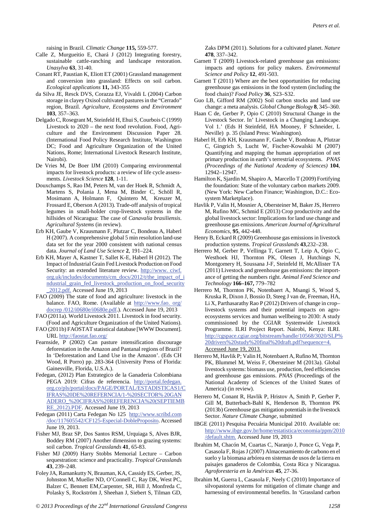raising in Brazil. *Climatic Change* **115,** 559-577.

- Calle Z, Murgueitio E, Chará J (2012) Integrating forestry, sustainable cattle-ranching and landscape restoration. *Unasylva* **63**, 31-40.
- Conant RT, Paustian K, Eliott ET (2001) Grassland management and conversion into grassland: Effects on soil carbon. *Ecological applications* **11,** 343-355
- da Silva JE, Resck DVS, Corazza EJ, Vivaldi L (2004) Carbon storage in clayey Oxisol cultivated pastures in the "Cerrado" region, Brazil. *Agriculture, Ecosystems and Environment* **103**, 357–363.
- Delgado C, Rosegrant M, Steinfeld H, Ehui S, Courbois C (1999) Livestock to 2020 – the next food revolution. Food, Agriculture and the Environment Discussion Paper 28. (International Food Policy Research Institute, Washington DC; Food and Agriculture Organization of the United Nations, Rome; International Livestock Research Institute, Nairobi).
- De Vries M, De Boer IJM (2010) Comparing environmental impacts for livestock products: a review of life cycle assessments. *Livestock Science* **128**, 1-11.
- Douxchamps S, Rao IM, Peters M, van der Hoek R, Schmidt A, Martens S, Polania J, Mena M, Binder C, Schöll R, Mosimann A, Holmann F, Quintero M, Kreuzer M, Frossard E, Oberson A (2013). Trade-off analysis of tropical legumes in small-holder crop-livestock systems in the hillsides of Nicaragua: The case of *Canavalia brasiliensis*. *Agricultural Systems* (in review).
- Erb KH, Gaube V, Krausmann F, Plutzar C, Bondeau A, Haberl H (2007). A comprehensive global 5 min resolution land-use data set for the year 2000 consistent with national census data. *Journal of Land Use Science* **2**, 191–224.
- Erb KH, Mayer A, Kastner T, Sallet K-E, Haberl H (2012). The Impact of Industrial Grain Fed Livestock Production on Food Security: an extended literature review. http://www. ciwf. org.uk/includes/documents/cm\_docs/2012/t/the\_impact\_of\_i ndustrial\_grain\_fed\_livestock\_production\_on\_food\_security \_2012.pdf. Accessed June 19, 2013
- FAO (2009) The state of food and agriculture: livestock in the balance. FAO, Rome. (Available at http://www.fao. org/ docrep /012/i0680e/i0680e.pdf .). Accessed June 19, 2013
- FAO (2011a). World Livestock 2011. Livestock in food security. (Food and Agriculture Organization of the United Nations).
- FAO (2011b) FAOSTAT statistical database [WWW Document]. URL http://faostat.fao.org/
- Fearnside, P (2002) Can pasture intensification discourage deforestation in the Amazon and Pantanal regions of Brazil? In 'Deforestation and Land Use in the Amazon'. (Eds CH Wood, R Porro) pp. 283-364 (University Press of Florida: Gainesville, Florida, U.S.A.).
- Fedegan, (2012) Plan Estrategico de la Ganaderia Colombiana PEGA 2019: Cifras de referencia. http://portal.fedegan. org.co/pls/portal/docs/PAGE/PORTAL/ESTADISTICAS1/C IFRAS%20DE%20REFERNCIA/1-%20SECTOR% 20GAN ADERO\_%20CIFRAS%20REFERENCIA%20(SEPTIEMB RE\_2012).PDF. Accessed June 19, 2013
- Fedegan (2011) Carta Fedegan No 125 http://www.scribd.com /doc/117605542/CF125-Especial-DobleProposito . Accessed June 19, 2013.
- Fisher MJ, Braz SP, Dos Santos RSM, Urquiaga S, Alves BJR, Boddey RM (2007) Another dimension to grazing systems: soil carbon. *Tropical Grasslands* **41**, 65-83.
- Fisher MJ (2009) Harry Stobbs Memorial Lecture Carbon sequestration: science and practicality. *Tropical Grasslands* **43**, 239–248.
- Foley JA, Ramankutty N, Brauman, KA, Cassidy ES, Gerber, JS, Johnston M, Mueller ND, O'Connell C, Ray DK, West PC, Balzer C, Bennett EM,Carpenter, SR, Hill J, Monfreda C, Polasky S, Rockström J, Sheehan J, Siebert S, Tilman GD,

Zaks DPM (2011). Solutions for a cultivated planet. *Nature* **478**, 337–342.

- Garnett T (2009) Livestock-related greenhouse gas emissions: impacts and options for policy makers. *Environmental Science and Policy* **12**, 491-503.
- Garnett T (2011) Where are the best opportunities for reducing greenhouse gas emissions in the food system (including the food chain)? *Food Policy* **36**, S23–S32.
- Guo LB, Gifford RM (2002) Soil carbon stocks and land use change: a meta analysis. *Global Change Biology* **8**, 345–360.
- Haan C de, Gerber P, Opio C (2010) Structural Change in the Livestock Sector. In' Livestock in a Changing Landscape. Vol 1.' (Eds H Steinfeld, HA Mooney, F Schneider, L Neville) p. 35 (Island Press: Washington).
- Haberl H, Erb KH, Krausmann F, Gaube V, Bondeau A, Plutzar C, Gingrich S, Lucht W, Fischer-Kowalski M (2007) Quantifying and mapping the human appropriation of net primary production in earth's terrestrial ecosystems. *PNAS (Proceedings of the National Academy of Sciences)* **104**, 12942–12947.
- Hamilton K, Sjardin M, Shapiro A, Marcello T (2009) Fortifying the foundation: State of the voluntary carbon markets 2009. (New York: New Carbon Finance; Washington, D.C.: Ecosystem Marketplace).
- Havlik P, Valin H, Mosnier A, Obersteiner M, Baker JS, Herrero M, Rufino MC, Schmid E (2013) Crop productivity and the global livestock sector: Implications for land use change and greenhouse gas emissions. *American Journal of Agricultural Economics*, **95**, 442-448.
- Henry B, Eckard R (2009) Greenhouse gas emissions in livestock production systems. *Tropical Grasslands* **43**,232–238.
- Herrero M, Gerber P, Vellinga T, Garnett T, Leip A, Opio C, Westhoek HJ, Thornton PK, Olesen J, Hutchings N, Montgomery H, Soussana J-F, Steinfeld H, McAllister TA (2011) Livestock and greenhouse gas emissions: the importance of getting the numbers right. *Animal Feed Science and Technology* **166–167,** 779–782
- Herrero M, Thornton PK, Notenbaert A, Msangi S, Wood S, Kruska R, Dixon J, Bossio D, Steeg J van de, Freeman, HA, Li X, Parthasarathy Rao P (2012) Drivers of change in crop– livestock systems and their potential impacts on agroecosystems services and human wellbeing to 2030: A study commissioned by the CGIAR Systemwide Livestock Programme. ILRI Project Report. Nairobi, Kenya: ILRI. http://cgspace.cgiar.org/bitstream/handle/10568/3020/SLP% 20drivers%20study%20final%20draft.pdf?sequence=4. Accessed June 19, 2013.
- Herrero M, Havlik P; Valin H, Notenbaert A, Rufino M, Thornton PK, Blummel M, Weiss F, Obersteiner M (2013a). Global livestock systems: biomass use, production, feed efficiencies and greenhouse gas emissions. *PNAS* (Proceedings of the National Academy of Sciences of the United States of America) (in review).
- Herrero M, Conant R, Havlik P, Hristov A, Smith P, Gerber P, Gill M, Butterbach-Bahl K, Henderson B, Thornton PK (2013b) Greenhouse gas mitigation potentials in the livestock Sector. *Nature Climate Change*, submitted
- IBGE (2011) Pesquisa Pecuária Municipal 2010. Available on: http://www.ibge.gov.br/home/estatistica/economia/ppm/2010 /default.shtm. Accessed June 19, 2013
- Ibrahim M, Chacón M, Cuartas C, Naranjo J, Ponce G, Vega P, Casasola F, Rojas J (2007) Almacenamiento de carbono en el suelo y la biomasa arbórea en sistemas de usos de la tierra en paisajes ganaderos de Colombia, Costa Rica y Nicaragua. *Agroforesteria en la Américas* **45**, 27-36.
- Ibrahim M, Guerra L, Casasola F, Neely C (2010) Importance of silvopastoral systems for mitigation of climate change and harnessing of environmental benefits. In 'Grassland carbon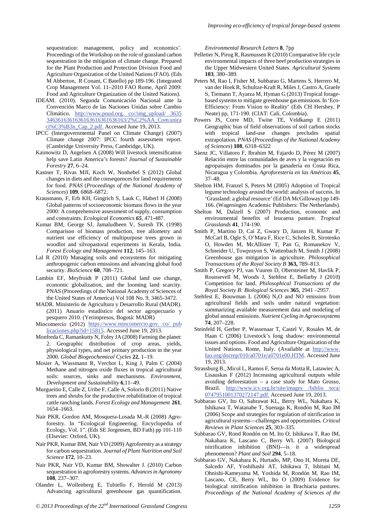sequestration: management, policy and economics'. Proceedings of the Workshop on the role of grassland carbon sequestration in the mitigation of climate change. Prepared for the Plant Production and Protection Division Food and Agriculture Organization of the United Nations (FAO). (Eds M Abberton, R Conant, C Batello) pp 189-196. (Integrated Crop Management Vol. 11–2010 FAO Rome, April 2009: Food and Agriculture Organization of the United Nations).

- IDEAM. (2010). Segunda Comunicación Nacional ante la Convención Marco de las Naciones Unidas sobre Cambio Climático. http://www.pnud.org. co//img\_upload/ 3635 3463616361636163616361636163/2%C2%AA\_Comunica ci%C3%B3n\_Cap\_2.pdf. Accessed June 19, 2013.
- IPCC (Intergovernmental Panel on Climate Change) (2007) Climate change 2007: IPCC fourth assessment report. (Cambridge University Press, Cambridge, UK).
- Kaimowitz D, Angelsen A (2008) Will livestock intensification help save Latin America's forests? *Journal of Sustainable Forestry* **27**, 6–24.
- Kastner T, Rivas MJI, Koch W, Nonhebel S (2012) Global changes in diets and the consequences for land requirements for food. *PNAS* (*Proceedings of the National Academy of Sciences*) **109**, 6868–6872.
- Krausmann, F, Erb KH, Gingrich S, Lauk C, Haberl H (2008) Global patterns of socioeconomic biomass flows in the year 2000: A comprehensive assessment of supply, consumption and constraints. *Ecological Economics 65*, 471-487.
- Kumar BM, George SJ, Jamaludheen V, Suresh TK (1998) Comparison of biomass production, tree allometry and nutrient use efficiency of multipurpose trees grown in woodlot and silvopastoral experiments in Kerala, India. *Forest Ecology and Management* **112**, 145–163.
- Lal R (2010) Managing soils and ecosystems for mitigating anthropogenic carbon emissions and advancing global food security. *BioScience* **60**, 708–721.
- Lambin EF, Meyfroidt P (2011) Global land use change, economic globalization, and the looming land scarcity. PNAS (Proceedings of the National Academy of Sciences of the United States of America) Vol 108 No. 9, 3465-3472.
- MADR. Ministerio de Agricultura y Desarrollo Rural (MADR). (2011) Anuario estadístico del sector agropecuario y pesquero 2010. (Yerimpresos, Bogotá: MADR)
- Mincomercio (2012) https://www.mincomercio.gov. co/ pub licaciones.php?id=15815 . Accessed June 19, 2013.
- Monfreda C, Ramankutty N, Foley JA (2008) Farming the planet: 2. Geographic distribution of crop areas, yields, physiological types, and net primary production in the year 2000. *Global Biogeochemical Cycles* **22**, 1–19.
- Mosier A, Wassmann R, Verchot L, King J, Palm C (2004) Methane and nitrogen oxide fluxes in tropical agricultural soils: sources, sinks and mechanisms. *Environment, Development and Sustainability* **6**,11–49.
- Murgueitio E, Calle Z, Uribe F, Calle A, Solorio B (2011) Native trees and shrubs for the productive rehabilitation of tropical cattle ranching lands. *Forest Ecology and Management* **261**, 1654–1663.
- Nair PKR, Gordon AM, Mosquera-Losada M.-R (2008) Agroforestry. In "Ecological Engineering. Encyclopedia of Ecology, Vol. 1". (Eds SE Jorgensen, BD Fath) pp 101-110 (Elsevier: Oxford, UK).
- Nair PKR, Kumar BM, Nair VD (2009) Agroforestry as a strategy for carbon sequestration. *Journal of Plant Nutrition and Soil Science* **172**, 10–23.
- Nair PKR, Nair VD, Kumar BM, Showalter J. (2010) Carbon sequestration in agroforestry systems. *Advances in Agronomy* **108**, 237–307.
- Olander L, Wollenberg E, Tubiello F, Herold M (2013) Advancing agricultural greenhouse gas quantification.

*Environmental Research Letters* **8**, 7pp

- Pelletier N, Pirog R, Rasmussen R (2010) Comparative life cycle environmental impacts of three beef production strategies in the Upper Midwestern United States. *Agricultural Systems* **103**, 380–389.
- Peters M, Rao I, Fisher M, Subbarao G, Martens S, Herrero M, van der Hoek R, Schultze-Kraft R, Miles J, Castro A, Graefe S, Tiemann T, Ayarza M, Hyman G (2013) Tropical foragebased systems to mitigate greenhouse gas emissions. In 'Eco-Efficiency: From Vision to Reality' (Eds CH Hershey, P Neate) pp, 171-190. (CIAT: Cali, Colombia).
- Powers JS, Corre MD, Twine TE, Veldkamp E (2011) Geographic bias of field observations of soil carbon stocks with tropical land-use changes precludes spatial extrapolation. *PNAS* (*Proceedings of the National Academy of Sciences*) **108**, 6318–6322
- Sáenz JC, Villatoro F, Ibrahim M, Fajardo D, Pérez M (2007) Relación entre las comunidades de aves y la vegetación en agropaisajes dominados por la ganadería en Costa Rica, Nicaragua y Colombia. *Agroforestería en las Américas* **45**, 37–48.
- Shelton HM, Franzel S, Peters M (2005) Adoption of Tropical legume technology around the world: analysis of success. In 'Grassland: a global resource' (Ed DA McGilloway) pp 149- 166. (Wageningen Academic Publishers: The Netherlands).
- Shelton M, Dalzell S (2007) Production, economic and environmental benefits of leucaena pasture. *Tropical Grasslands* **41**, 174-190.
- Smith P, Martino D, Cai Z, Gwary D, Janzen H, Kumar P, McCarl B, Ogle S, O'Mara F, Rice C, Scholes B, Sirotenko O, Howden M, McAllister T, Pan G, Romanekov V, Schneider U, Towprayon S, Wattenbach M, Smith J (2008) Greenhouse gas mitigation in agriculture. *Philosophical Transactions of the Royal Society B* **363,** 789–813.
- Smith P, Gregory PJ, van Vuuren D, Obersteiner M, Havlík P, Rounsevell M, Woods J, Stehfest E, Bellarby J (2010) Competition for land. *Philosophical Transactions of the Royal Society B: Biological Sciences* **365**, 2941 –2957.
- Stehfest E, Bouwman L (2006) N<sub>2</sub>O and NO emission from agricultural fields and soils under natural vegetation: summarizing available measurement data and modeling of global annual emissions. *Nutrient Cycling in Agroecosystems* **74**, 207–228.
- Steinfeld H, Gerber P, Wassenaar T, Castel V, Rosales M, de Haan C (2006) Livestock's long shadow: environmental issues and options. Food and Agriculture Organization of the United Nations, Rome, Italy. (Available at http://www. fao.org/docrep/010/a0701e/a0701e00.HTM . Accessed June 19, 2013.
- Strassburg B., Micol L, Ramos F, Seroa da Motta R, Latawiec A, Lisauskas F (2012) Increasing agricultural outputs while avoiding deforestation – a case study for Mato Grosso, Brazil. http://www.icv.org.br/site/images /biblio teca/ 0747951001370272147.pdf. Accessed June 19, 2013.
- Subbarao GV, Ito O, Sahrawat KL, Berry WL, Nakahara K, Ishikawa T, Watanabe T, Suenaga K, Rondón M, Rao IM (2006) Scope and strategies for regulation of nitrification in agricultural systems—challenges and opportunities. *Critical Reviews in Plant Sciences* **25**, 303–335.
- Subbarao GV, Rond Rondón on M, Ito O, Ishikawa T, Rao IM, Nakahara K, Lascano C, Berry WL (2007) Biological nitrification inhibition (BNI)—is it a widespread phenomenon? *Plant and Soil* **294**, 5–18.
- Subbarao GV, Nakahara K, Hurtado, MP, Ono H, Moreta DE, Salcedo AF, Yoshihashi AT, Ishikawa T, Ishitani M, Ohnishi-Kameyama M, Yoshida M, Rondón M, Rao IM, Lascano, CE, Berry WL, Ito O (2009) Evidence for biological nitrification inhibition in Brachiaria pastures. *Proceedings of the National Academy of Sciences of the*